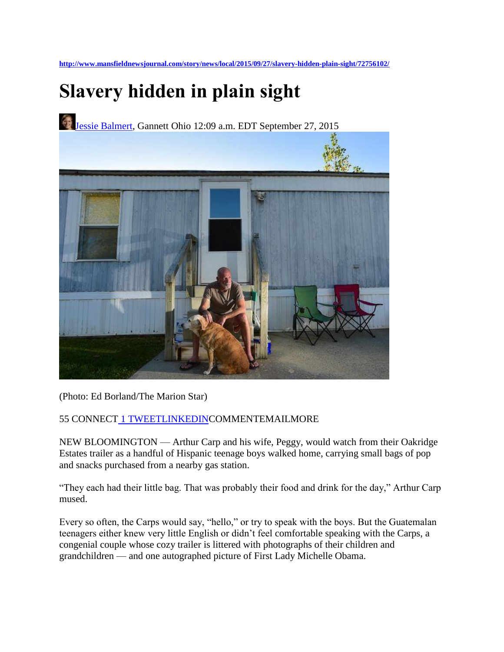**<http://www.mansfieldnewsjournal.com/story/news/local/2015/09/27/slavery-hidden-plain-sight/72756102/>**

# **Slavery hidden in plain sight**

[Jessie Balmert,](http://www.marionstar.com/staff/14299/jessie-balmert/) Gannett Ohio 12:09 a.m. EDT September 27, 2015



(Photo: Ed Borland/The Marion Star)

## 55 CONNECT [1 TWEETLINKEDINC](https://twitter.com/intent/tweet?url=http%3A//ohne.ws/1KCQSZ1&text=Slavery%20hidden%20in%20plain%20sight&via=MansfieldNJ)OMMENTEMAILMORE

NEW BLOOMINGTON — Arthur Carp and his wife, Peggy, would watch from their Oakridge Estates trailer as a handful of Hispanic teenage boys walked home, carrying small bags of pop and snacks purchased from a nearby gas station.

"They each had their little bag. That was probably their food and drink for the day," Arthur Carp mused.

Every so often, the Carps would say, "hello," or try to speak with the boys. But the Guatemalan teenagers either knew very little English or didn't feel comfortable speaking with the Carps, a congenial couple whose cozy trailer is littered with photographs of their children and grandchildren — and one autographed picture of First Lady Michelle Obama.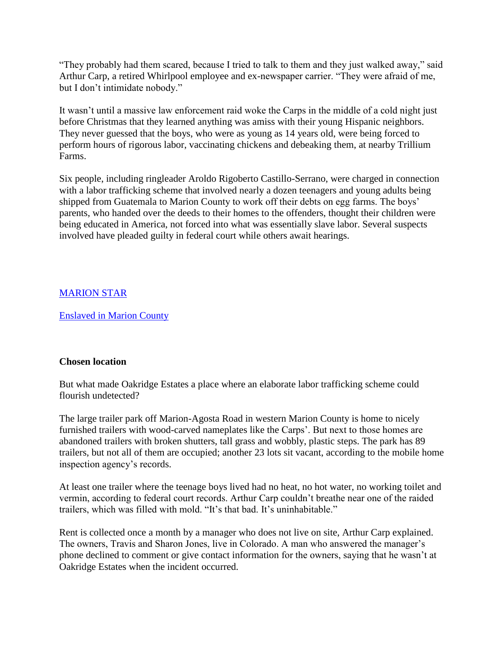"They probably had them scared, because I tried to talk to them and they just walked away," said Arthur Carp, a retired Whirlpool employee and ex-newspaper carrier. "They were afraid of me, but I don't intimidate nobody."

It wasn't until a massive law enforcement raid woke the Carps in the middle of a cold night just before Christmas that they learned anything was amiss with their young Hispanic neighbors. They never guessed that the boys, who were as young as 14 years old, were being forced to perform hours of rigorous labor, vaccinating chickens and debeaking them, at nearby Trillium Farms.

Six people, including ringleader Aroldo Rigoberto Castillo-Serrano, were charged in connection with a labor trafficking scheme that involved nearly a dozen teenagers and young adults being shipped from Guatemala to Marion County to work off their debts on egg farms. The boys' parents, who handed over the deeds to their homes to the offenders, thought their children were being educated in America, not forced into what was essentially slave labor. Several suspects involved have pleaded guilty in federal court while others await hearings.

### [MARION STAR](http://www.marionstar.com/story/news/local/2015/09/05/enslaved-marion-county/71786932/?from=global&sessionKey=&autologin=)

[Enslaved in Marion County](http://www.marionstar.com/story/news/local/2015/09/05/enslaved-marion-county/71786932/?from=global&sessionKey=&autologin=)

#### **Chosen location**

But what made Oakridge Estates a place where an elaborate labor trafficking scheme could flourish undetected?

The large trailer park off Marion-Agosta Road in western Marion County is home to nicely furnished trailers with wood-carved nameplates like the Carps'. But next to those homes are abandoned trailers with broken shutters, tall grass and wobbly, plastic steps. The park has 89 trailers, but not all of them are occupied; another 23 lots sit vacant, according to the mobile home inspection agency's records.

At least one trailer where the teenage boys lived had no heat, no hot water, no working toilet and vermin, according to federal court records. Arthur Carp couldn't breathe near one of the raided trailers, which was filled with mold. "It's that bad. It's uninhabitable."

Rent is collected once a month by a manager who does not live on site, Arthur Carp explained. The owners, Travis and Sharon Jones, live in Colorado. A man who answered the manager's phone declined to comment or give contact information for the owners, saying that he wasn't at Oakridge Estates when the incident occurred.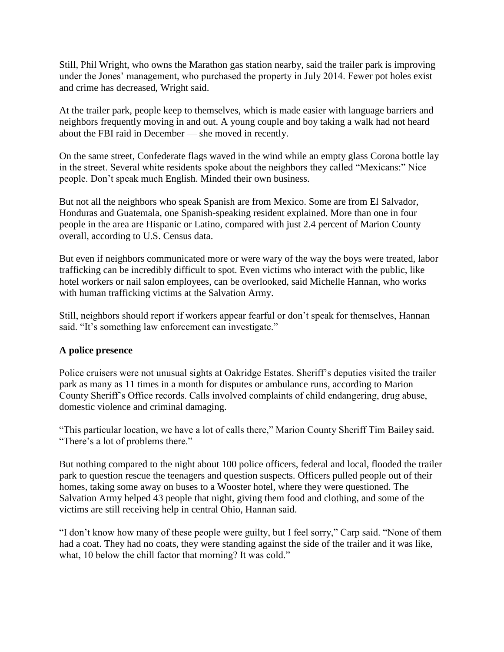Still, Phil Wright, who owns the Marathon gas station nearby, said the trailer park is improving under the Jones' management, who purchased the property in July 2014. Fewer pot holes exist and crime has decreased, Wright said.

At the trailer park, people keep to themselves, which is made easier with language barriers and neighbors frequently moving in and out. A young couple and boy taking a walk had not heard about the FBI raid in December — she moved in recently.

On the same street, Confederate flags waved in the wind while an empty glass Corona bottle lay in the street. Several white residents spoke about the neighbors they called "Mexicans:" Nice people. Don't speak much English. Minded their own business.

But not all the neighbors who speak Spanish are from Mexico. Some are from El Salvador, Honduras and Guatemala, one Spanish-speaking resident explained. More than one in four people in the area are Hispanic or Latino, compared with just 2.4 percent of Marion County overall, according to U.S. Census data.

But even if neighbors communicated more or were wary of the way the boys were treated, labor trafficking can be incredibly difficult to spot. Even victims who interact with the public, like hotel workers or nail salon employees, can be overlooked, said Michelle Hannan, who works with human trafficking victims at the Salvation Army.

Still, neighbors should report if workers appear fearful or don't speak for themselves, Hannan said. "It's something law enforcement can investigate."

#### **A police presence**

Police cruisers were not unusual sights at Oakridge Estates. Sheriff's deputies visited the trailer park as many as 11 times in a month for disputes or ambulance runs, according to Marion County Sheriff's Office records. Calls involved complaints of child endangering, drug abuse, domestic violence and criminal damaging.

"This particular location, we have a lot of calls there," Marion County Sheriff Tim Bailey said. "There's a lot of problems there."

But nothing compared to the night about 100 police officers, federal and local, flooded the trailer park to question rescue the teenagers and question suspects. Officers pulled people out of their homes, taking some away on buses to a Wooster hotel, where they were questioned. The Salvation Army helped 43 people that night, giving them food and clothing, and some of the victims are still receiving help in central Ohio, Hannan said.

"I don't know how many of these people were guilty, but I feel sorry," Carp said. "None of them had a coat. They had no coats, they were standing against the side of the trailer and it was like, what, 10 below the chill factor that morning? It was cold."